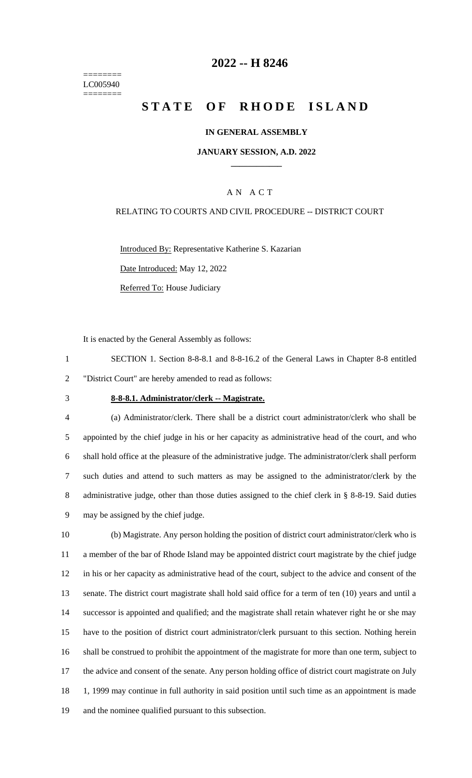======== LC005940 ========

## **2022 -- H 8246**

# **STATE OF RHODE ISLAND**

### **IN GENERAL ASSEMBLY**

#### **JANUARY SESSION, A.D. 2022 \_\_\_\_\_\_\_\_\_\_\_\_**

## A N A C T

#### RELATING TO COURTS AND CIVIL PROCEDURE -- DISTRICT COURT

Introduced By: Representative Katherine S. Kazarian Date Introduced: May 12, 2022 Referred To: House Judiciary

It is enacted by the General Assembly as follows:

1 SECTION 1. Section 8-8-8.1 and 8-8-16.2 of the General Laws in Chapter 8-8 entitled 2 "District Court" are hereby amended to read as follows:

#### 3 **8-8-8.1. Administrator/clerk -- Magistrate.**

 (a) Administrator/clerk. There shall be a district court administrator/clerk who shall be appointed by the chief judge in his or her capacity as administrative head of the court, and who shall hold office at the pleasure of the administrative judge. The administrator/clerk shall perform such duties and attend to such matters as may be assigned to the administrator/clerk by the 8 administrative judge, other than those duties assigned to the chief clerk in § 8-8-19. Said duties may be assigned by the chief judge.

 (b) Magistrate. Any person holding the position of district court administrator/clerk who is a member of the bar of Rhode Island may be appointed district court magistrate by the chief judge in his or her capacity as administrative head of the court, subject to the advice and consent of the senate. The district court magistrate shall hold said office for a term of ten (10) years and until a successor is appointed and qualified; and the magistrate shall retain whatever right he or she may have to the position of district court administrator/clerk pursuant to this section. Nothing herein shall be construed to prohibit the appointment of the magistrate for more than one term, subject to the advice and consent of the senate. Any person holding office of district court magistrate on July 18 1, 1999 may continue in full authority in said position until such time as an appointment is made and the nominee qualified pursuant to this subsection.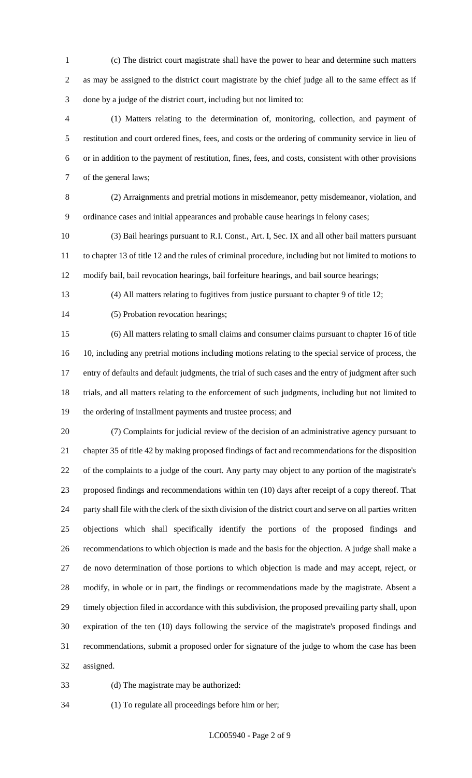- (c) The district court magistrate shall have the power to hear and determine such matters as may be assigned to the district court magistrate by the chief judge all to the same effect as if done by a judge of the district court, including but not limited to:
- (1) Matters relating to the determination of, monitoring, collection, and payment of restitution and court ordered fines, fees, and costs or the ordering of community service in lieu of or in addition to the payment of restitution, fines, fees, and costs, consistent with other provisions of the general laws;
- (2) Arraignments and pretrial motions in misdemeanor, petty misdemeanor, violation, and ordinance cases and initial appearances and probable cause hearings in felony cases;
- (3) Bail hearings pursuant to R.I. Const., Art. I, Sec. IX and all other bail matters pursuant to chapter 13 of title 12 and the rules of criminal procedure, including but not limited to motions to modify bail, bail revocation hearings, bail forfeiture hearings, and bail source hearings;
- 

(4) All matters relating to fugitives from justice pursuant to chapter 9 of title 12;

- 14 (5) Probation revocation hearings;
- (6) All matters relating to small claims and consumer claims pursuant to chapter 16 of title 10, including any pretrial motions including motions relating to the special service of process, the entry of defaults and default judgments, the trial of such cases and the entry of judgment after such trials, and all matters relating to the enforcement of such judgments, including but not limited to the ordering of installment payments and trustee process; and
- 

 (7) Complaints for judicial review of the decision of an administrative agency pursuant to chapter 35 of title 42 by making proposed findings of fact and recommendations for the disposition of the complaints to a judge of the court. Any party may object to any portion of the magistrate's proposed findings and recommendations within ten (10) days after receipt of a copy thereof. That party shall file with the clerk of the sixth division of the district court and serve on all parties written objections which shall specifically identify the portions of the proposed findings and recommendations to which objection is made and the basis for the objection. A judge shall make a de novo determination of those portions to which objection is made and may accept, reject, or modify, in whole or in part, the findings or recommendations made by the magistrate. Absent a timely objection filed in accordance with this subdivision, the proposed prevailing party shall, upon expiration of the ten (10) days following the service of the magistrate's proposed findings and recommendations, submit a proposed order for signature of the judge to whom the case has been assigned.

(d) The magistrate may be authorized:

- 
- (1) To regulate all proceedings before him or her;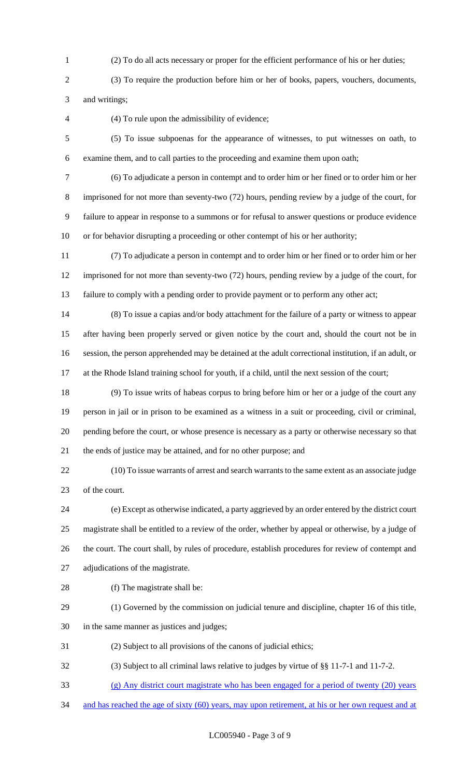- (2) To do all acts necessary or proper for the efficient performance of his or her duties;
- (3) To require the production before him or her of books, papers, vouchers, documents, and writings;
- 

(4) To rule upon the admissibility of evidence;

- (5) To issue subpoenas for the appearance of witnesses, to put witnesses on oath, to examine them, and to call parties to the proceeding and examine them upon oath;
- 

 (6) To adjudicate a person in contempt and to order him or her fined or to order him or her imprisoned for not more than seventy-two (72) hours, pending review by a judge of the court, for failure to appear in response to a summons or for refusal to answer questions or produce evidence or for behavior disrupting a proceeding or other contempt of his or her authority;

 (7) To adjudicate a person in contempt and to order him or her fined or to order him or her imprisoned for not more than seventy-two (72) hours, pending review by a judge of the court, for failure to comply with a pending order to provide payment or to perform any other act;

- (8) To issue a capias and/or body attachment for the failure of a party or witness to appear after having been properly served or given notice by the court and, should the court not be in session, the person apprehended may be detained at the adult correctional institution, if an adult, or at the Rhode Island training school for youth, if a child, until the next session of the court;
- (9) To issue writs of habeas corpus to bring before him or her or a judge of the court any person in jail or in prison to be examined as a witness in a suit or proceeding, civil or criminal, pending before the court, or whose presence is necessary as a party or otherwise necessary so that the ends of justice may be attained, and for no other purpose; and

 (10) To issue warrants of arrest and search warrants to the same extent as an associate judge of the court.

 (e) Except as otherwise indicated, a party aggrieved by an order entered by the district court magistrate shall be entitled to a review of the order, whether by appeal or otherwise, by a judge of the court. The court shall, by rules of procedure, establish procedures for review of contempt and adjudications of the magistrate.

- 
- 28 (f) The magistrate shall be:
- (1) Governed by the commission on judicial tenure and discipline, chapter 16 of this title,
- in the same manner as justices and judges;
- (2) Subject to all provisions of the canons of judicial ethics;
- (3) Subject to all criminal laws relative to judges by virtue of §§ 11-7-1 and 11-7-2.
- (g) Any district court magistrate who has been engaged for a period of twenty (20) years
- 34 and has reached the age of sixty (60) years, may upon retirement, at his or her own request and at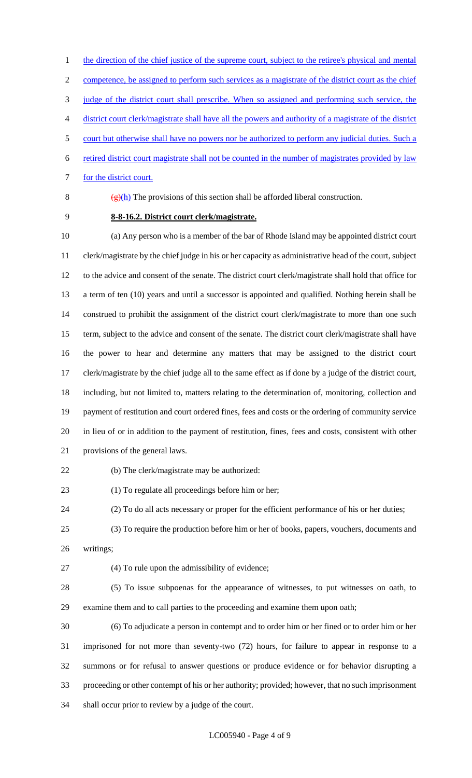1 the direction of the chief justice of the supreme court, subject to the retiree's physical and mental competence, be assigned to perform such services as a magistrate of the district court as the chief judge of the district court shall prescribe. When so assigned and performing such service, the district court clerk/magistrate shall have all the powers and authority of a magistrate of the district court but otherwise shall have no powers nor be authorized to perform any judicial duties. Such a retired district court magistrate shall not be counted in the number of magistrates provided by law

7 for the district court.

8  $(g)(h)$  The provisions of this section shall be afforded liberal construction.

**8-8-16.2. District court clerk/magistrate.**

 (a) Any person who is a member of the bar of Rhode Island may be appointed district court clerk/magistrate by the chief judge in his or her capacity as administrative head of the court, subject to the advice and consent of the senate. The district court clerk/magistrate shall hold that office for a term of ten (10) years and until a successor is appointed and qualified. Nothing herein shall be construed to prohibit the assignment of the district court clerk/magistrate to more than one such term, subject to the advice and consent of the senate. The district court clerk/magistrate shall have the power to hear and determine any matters that may be assigned to the district court clerk/magistrate by the chief judge all to the same effect as if done by a judge of the district court, including, but not limited to, matters relating to the determination of, monitoring, collection and payment of restitution and court ordered fines, fees and costs or the ordering of community service in lieu of or in addition to the payment of restitution, fines, fees and costs, consistent with other provisions of the general laws.

(b) The clerk/magistrate may be authorized:

(1) To regulate all proceedings before him or her;

(2) To do all acts necessary or proper for the efficient performance of his or her duties;

- (3) To require the production before him or her of books, papers, vouchers, documents and
- writings;

(4) To rule upon the admissibility of evidence;

 (5) To issue subpoenas for the appearance of witnesses, to put witnesses on oath, to examine them and to call parties to the proceeding and examine them upon oath;

 (6) To adjudicate a person in contempt and to order him or her fined or to order him or her imprisoned for not more than seventy-two (72) hours, for failure to appear in response to a summons or for refusal to answer questions or produce evidence or for behavior disrupting a proceeding or other contempt of his or her authority; provided; however, that no such imprisonment shall occur prior to review by a judge of the court.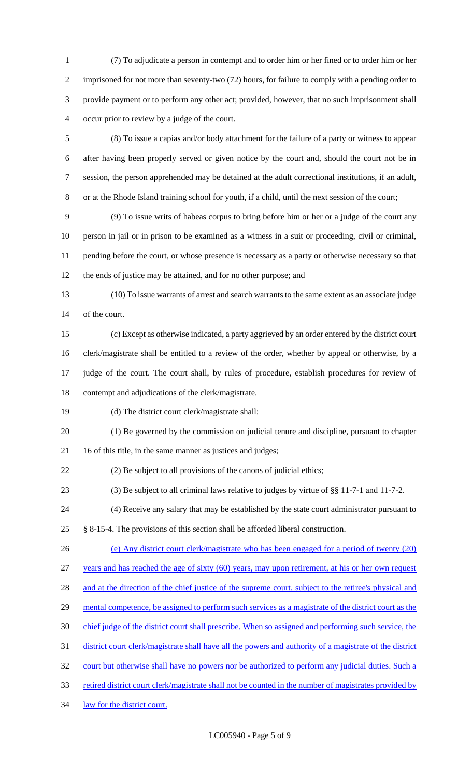(7) To adjudicate a person in contempt and to order him or her fined or to order him or her imprisoned for not more than seventy-two (72) hours, for failure to comply with a pending order to provide payment or to perform any other act; provided, however, that no such imprisonment shall occur prior to review by a judge of the court.

 (8) To issue a capias and/or body attachment for the failure of a party or witness to appear after having been properly served or given notice by the court and, should the court not be in session, the person apprehended may be detained at the adult correctional institutions, if an adult, or at the Rhode Island training school for youth, if a child, until the next session of the court;

 (9) To issue writs of habeas corpus to bring before him or her or a judge of the court any person in jail or in prison to be examined as a witness in a suit or proceeding, civil or criminal, pending before the court, or whose presence is necessary as a party or otherwise necessary so that the ends of justice may be attained, and for no other purpose; and

 (10) To issue warrants of arrest and search warrants to the same extent as an associate judge of the court.

 (c) Except as otherwise indicated, a party aggrieved by an order entered by the district court clerk/magistrate shall be entitled to a review of the order, whether by appeal or otherwise, by a judge of the court. The court shall, by rules of procedure, establish procedures for review of contempt and adjudications of the clerk/magistrate.

(d) The district court clerk/magistrate shall:

 (1) Be governed by the commission on judicial tenure and discipline, pursuant to chapter 16 of this title, in the same manner as justices and judges;

(2) Be subject to all provisions of the canons of judicial ethics;

(3) Be subject to all criminal laws relative to judges by virtue of §§ 11-7-1 and 11-7-2.

(4) Receive any salary that may be established by the state court administrator pursuant to

§ 8-15-4. The provisions of this section shall be afforded liberal construction.

(e) Any district court clerk/magistrate who has been engaged for a period of twenty (20)

years and has reached the age of sixty (60) years, may upon retirement, at his or her own request

28 and at the direction of the chief justice of the supreme court, subject to the retiree's physical and

- 29 mental competence, be assigned to perform such services as a magistrate of the district court as the
- chief judge of the district court shall prescribe. When so assigned and performing such service, the

district court clerk/magistrate shall have all the powers and authority of a magistrate of the district

32 court but otherwise shall have no powers nor be authorized to perform any judicial duties. Such a

33 retired district court clerk/magistrate shall not be counted in the number of magistrates provided by

law for the district court.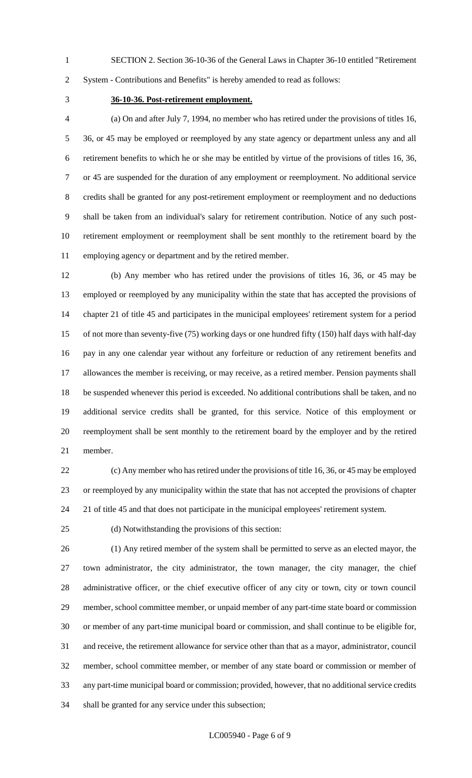SECTION 2. Section 36-10-36 of the General Laws in Chapter 36-10 entitled "Retirement

System - Contributions and Benefits" is hereby amended to read as follows:

### **36-10-36. Post-retirement employment.**

 (a) On and after July 7, 1994, no member who has retired under the provisions of titles 16, 36, or 45 may be employed or reemployed by any state agency or department unless any and all retirement benefits to which he or she may be entitled by virtue of the provisions of titles 16, 36, or 45 are suspended for the duration of any employment or reemployment. No additional service credits shall be granted for any post-retirement employment or reemployment and no deductions shall be taken from an individual's salary for retirement contribution. Notice of any such post- retirement employment or reemployment shall be sent monthly to the retirement board by the employing agency or department and by the retired member.

 (b) Any member who has retired under the provisions of titles 16, 36, or 45 may be employed or reemployed by any municipality within the state that has accepted the provisions of chapter 21 of title 45 and participates in the municipal employees' retirement system for a period of not more than seventy-five (75) working days or one hundred fifty (150) half days with half-day pay in any one calendar year without any forfeiture or reduction of any retirement benefits and allowances the member is receiving, or may receive, as a retired member. Pension payments shall be suspended whenever this period is exceeded. No additional contributions shall be taken, and no additional service credits shall be granted, for this service. Notice of this employment or reemployment shall be sent monthly to the retirement board by the employer and by the retired member.

 (c) Any member who has retired under the provisions of title 16, 36, or 45 may be employed or reemployed by any municipality within the state that has not accepted the provisions of chapter 21 of title 45 and that does not participate in the municipal employees' retirement system.

(d) Notwithstanding the provisions of this section:

 (1) Any retired member of the system shall be permitted to serve as an elected mayor, the town administrator, the city administrator, the town manager, the city manager, the chief administrative officer, or the chief executive officer of any city or town, city or town council member, school committee member, or unpaid member of any part-time state board or commission or member of any part-time municipal board or commission, and shall continue to be eligible for, and receive, the retirement allowance for service other than that as a mayor, administrator, council member, school committee member, or member of any state board or commission or member of any part-time municipal board or commission; provided, however, that no additional service credits shall be granted for any service under this subsection;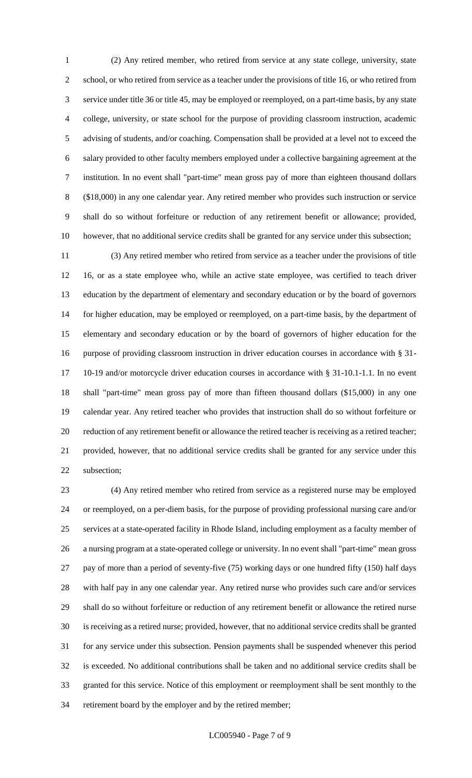(2) Any retired member, who retired from service at any state college, university, state school, or who retired from service as a teacher under the provisions of title 16, or who retired from service under title 36 or title 45, may be employed or reemployed, on a part-time basis, by any state college, university, or state school for the purpose of providing classroom instruction, academic advising of students, and/or coaching. Compensation shall be provided at a level not to exceed the salary provided to other faculty members employed under a collective bargaining agreement at the institution. In no event shall "part-time" mean gross pay of more than eighteen thousand dollars (\$18,000) in any one calendar year. Any retired member who provides such instruction or service shall do so without forfeiture or reduction of any retirement benefit or allowance; provided, however, that no additional service credits shall be granted for any service under this subsection;

 (3) Any retired member who retired from service as a teacher under the provisions of title 16, or as a state employee who, while an active state employee, was certified to teach driver education by the department of elementary and secondary education or by the board of governors for higher education, may be employed or reemployed, on a part-time basis, by the department of elementary and secondary education or by the board of governors of higher education for the purpose of providing classroom instruction in driver education courses in accordance with § 31- 10-19 and/or motorcycle driver education courses in accordance with § 31-10.1-1.1. In no event shall "part-time" mean gross pay of more than fifteen thousand dollars (\$15,000) in any one calendar year. Any retired teacher who provides that instruction shall do so without forfeiture or reduction of any retirement benefit or allowance the retired teacher is receiving as a retired teacher; provided, however, that no additional service credits shall be granted for any service under this subsection;

 (4) Any retired member who retired from service as a registered nurse may be employed or reemployed, on a per-diem basis, for the purpose of providing professional nursing care and/or services at a state-operated facility in Rhode Island, including employment as a faculty member of a nursing program at a state-operated college or university. In no event shall "part-time" mean gross pay of more than a period of seventy-five (75) working days or one hundred fifty (150) half days with half pay in any one calendar year. Any retired nurse who provides such care and/or services shall do so without forfeiture or reduction of any retirement benefit or allowance the retired nurse is receiving as a retired nurse; provided, however, that no additional service credits shall be granted for any service under this subsection. Pension payments shall be suspended whenever this period is exceeded. No additional contributions shall be taken and no additional service credits shall be granted for this service. Notice of this employment or reemployment shall be sent monthly to the retirement board by the employer and by the retired member;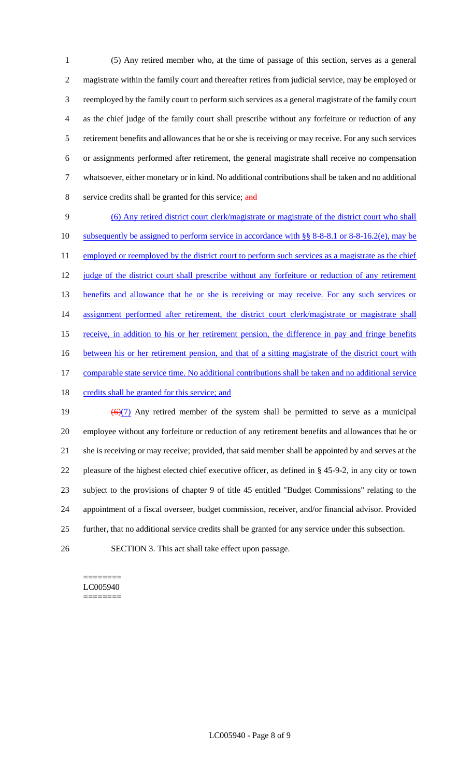(5) Any retired member who, at the time of passage of this section, serves as a general magistrate within the family court and thereafter retires from judicial service, may be employed or reemployed by the family court to perform such services as a general magistrate of the family court as the chief judge of the family court shall prescribe without any forfeiture or reduction of any retirement benefits and allowances that he or she is receiving or may receive. For any such services or assignments performed after retirement, the general magistrate shall receive no compensation whatsoever, either monetary or in kind. No additional contributions shall be taken and no additional 8 service credits shall be granted for this service; and

9 (6) Any retired district court clerk/magistrate or magistrate of the district court who shall 10 subsequently be assigned to perform service in accordance with §§ 8-8-8.1 or 8-8-16.2(e), may be 11 employed or reemployed by the district court to perform such services as a magistrate as the chief 12 judge of the district court shall prescribe without any forfeiture or reduction of any retirement 13 benefits and allowance that he or she is receiving or may receive. For any such services or 14 assignment performed after retirement, the district court clerk/magistrate or magistrate shall 15 receive, in addition to his or her retirement pension, the difference in pay and fringe benefits 16 between his or her retirement pension, and that of a sitting magistrate of the district court with 17 comparable state service time. No additional contributions shall be taken and no additional service 18 credits shall be granted for this service; and 19  $\left(\frac{6}{7}\right)$  Any retired member of the system shall be permitted to serve as a municipal

 employee without any forfeiture or reduction of any retirement benefits and allowances that he or she is receiving or may receive; provided, that said member shall be appointed by and serves at the pleasure of the highest elected chief executive officer, as defined in § 45-9-2, in any city or town subject to the provisions of chapter 9 of title 45 entitled "Budget Commissions" relating to the appointment of a fiscal overseer, budget commission, receiver, and/or financial advisor. Provided further, that no additional service credits shall be granted for any service under this subsection.

26 SECTION 3. This act shall take effect upon passage.

#### ======== LC005940 ========